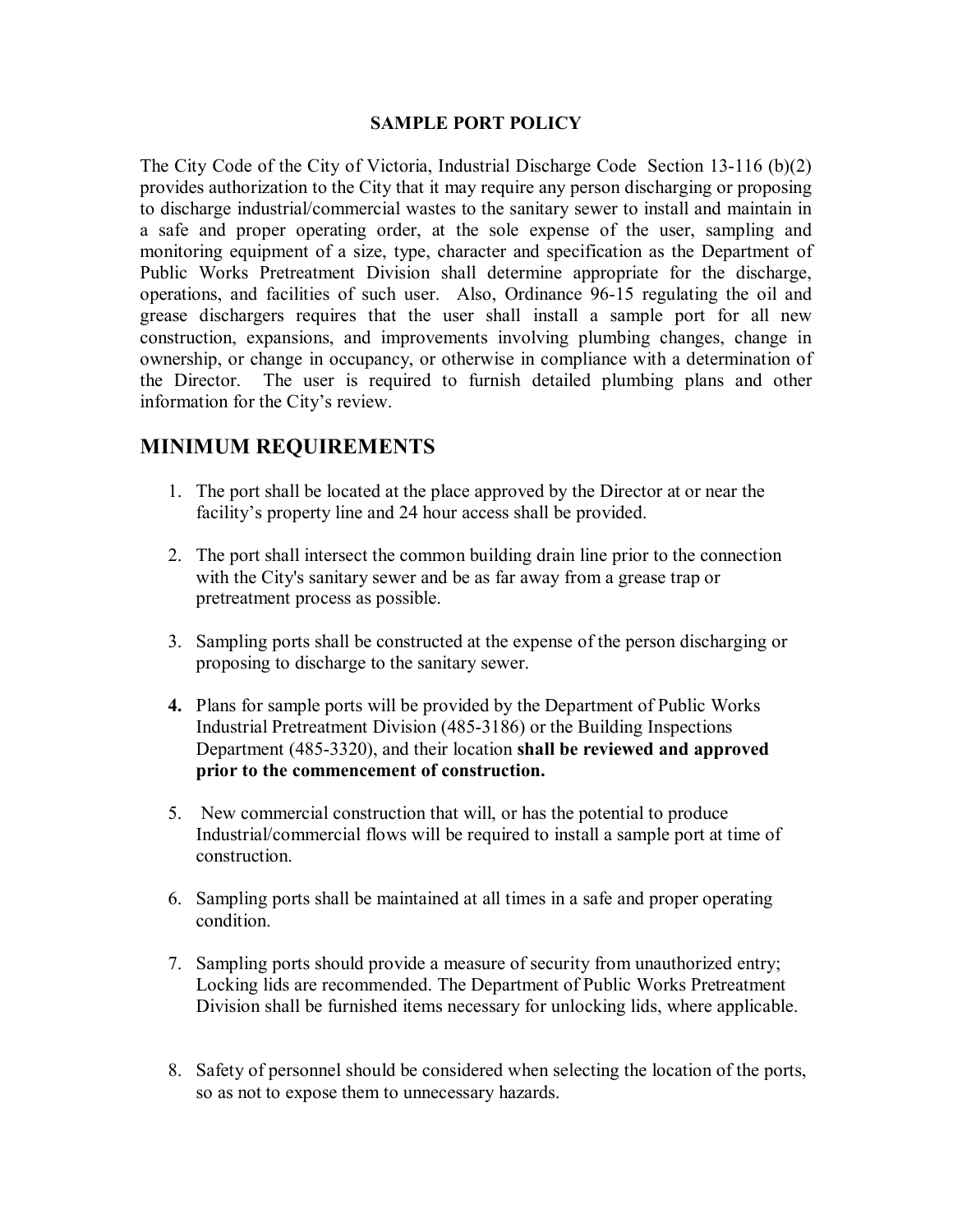## **SAMPLE PORT POLICY**

The City Code of the City of Victoria, Industrial Discharge Code Section  $13-116$  (b) $(2)$ provides authorization to the City that it may require any person discharging or proposing to discharge industrial/commercial wastes to the sanitary sewer to install and maintain in provides authorization to the City that it may require any person discharging or proposing<br>to discharge industrial/commercial wastes to the sanitary sewer to install and maintain in<br>a safe and proper operating order, at th to discharge industrial/commercial wastes to the sanitary sewer to install and maintain in<br>a safe and proper operating order, at the sole expense of the user, sampling and<br>monitoring equipment of a size, type, character an a safe and proper operating order, at the sole expense of the user, sampling and<br>monitoring equipment of a size, type, character and specification as the Department of<br>Public Works Pretreatment Division shall determine app monitoring equipment of a size, type, character and specification as the Department of<br>Public Works Pretreatment Division shall determine appropriate for the discharge,<br>operations, and facilities of such user. Also, Ordina Public Works Pretreatment Division shall determine appropriate for the discharge, operations, and facilities of such user. Also, Ordinance 96-15 regulating the oil and grease dischargers requires that the user shall instal operations, and facilities of such user. Also, Ordinance 96-15 regulating the oil and<br>grease dischargers requires that the user shall install a sample port for all new<br>construction, expansions, and improvements involving p ownership, or change in occupancy, or otherwise in compliance with a determination of construction, expansions, and improvements involving plumbing changes, change in ownership, or change in occupancy, or otherwise in compliance with a determination of the Director. The user is required to furnish detailed information for the City's review.

## **MINIMUM REQUIREMENTS**

- 1. The port shall be located at the place approved by the Director at or near the facility's property line and 24 hour access shall be provided.
- 2. The port shall intersect the common building drain line prior to the connection with the City's sanitary sewer and be as far away from a grease trap or pretreatment process as possible.
- 3. Sampling ports shall be constructed at the expense of the person discharging or proposing to discharge to the sanitary sewer.
- **4.** Plans for sample ports will be provided by the Department of Public Works Industrial Pretreatment Division (4853186) or the Building Inspections Department (485-3320), and their location **shall be reviewed and approved prior to the commencement of construction.**
- 5. New commercial construction that will, or has the potential to produce Industrial/commercial flows will be required to install a sample port at time of construction.
- 6. Sampling ports shall be maintained at all times in a safe and proper operating condition.
- 7. Sampling ports should provide a measure of security from unauthorized entry; Locking lids are recommended. The Department of Public Works Pretreatment Division shall be furnished items necessary for unlocking lids, where applicable.
- 8. Safety of personnel should be considered when selecting the location of the ports, so as not to expose them to unnecessary hazards.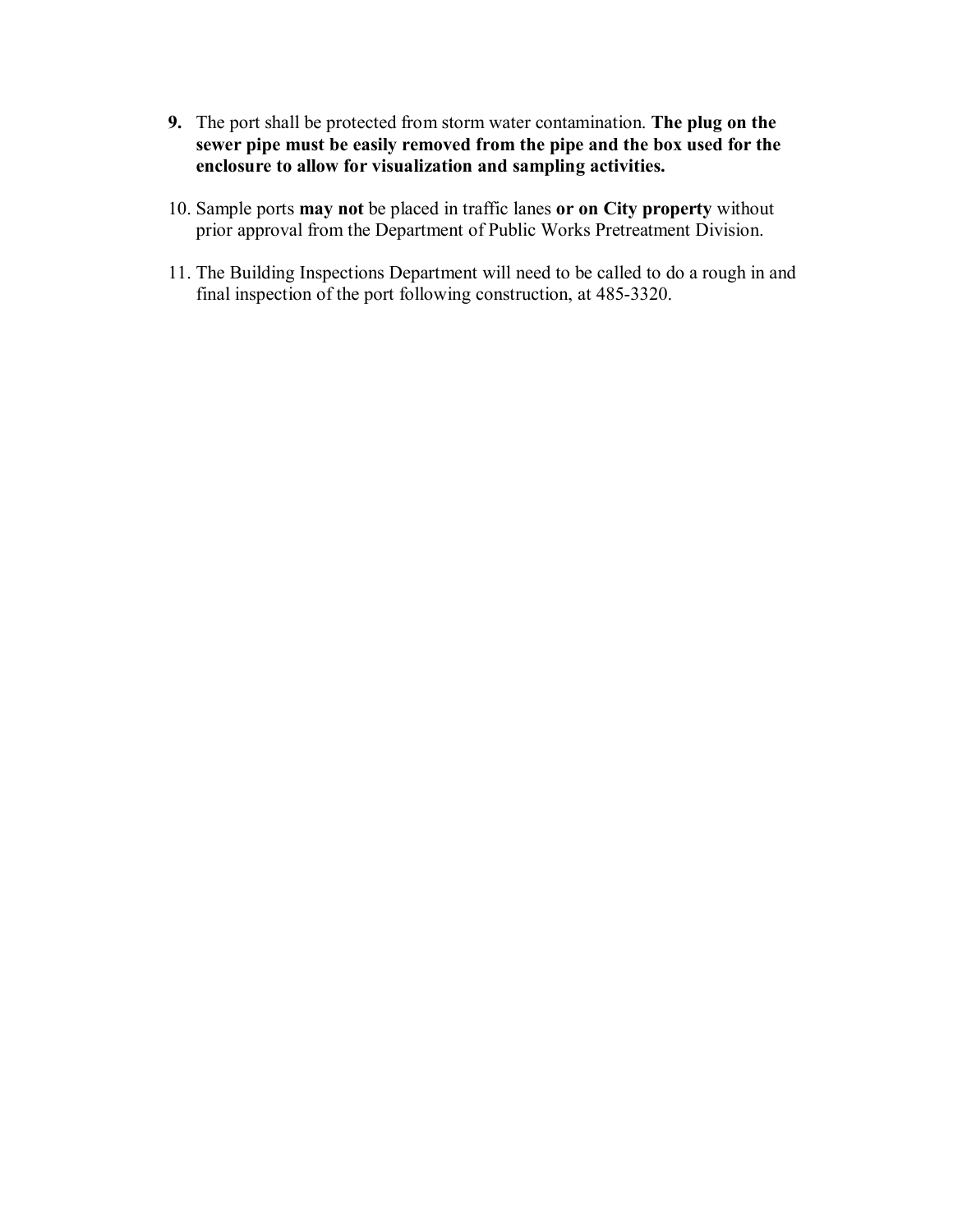- **9.** The port shall be protected from storm water contamination. **The plug on the sewer pipe must be easily removed from the pipe and the box used for the enclosure to allow for visualization and sampling activities.**
- 10. Sample ports **may not** be placed in traffic lanes **or on City property** without prior approval from the Department of Public Works Pretreatment Division.
- 11. The Building Inspections Department will need to be called to do a rough in and final inspection of the port following construction, at 485-3320.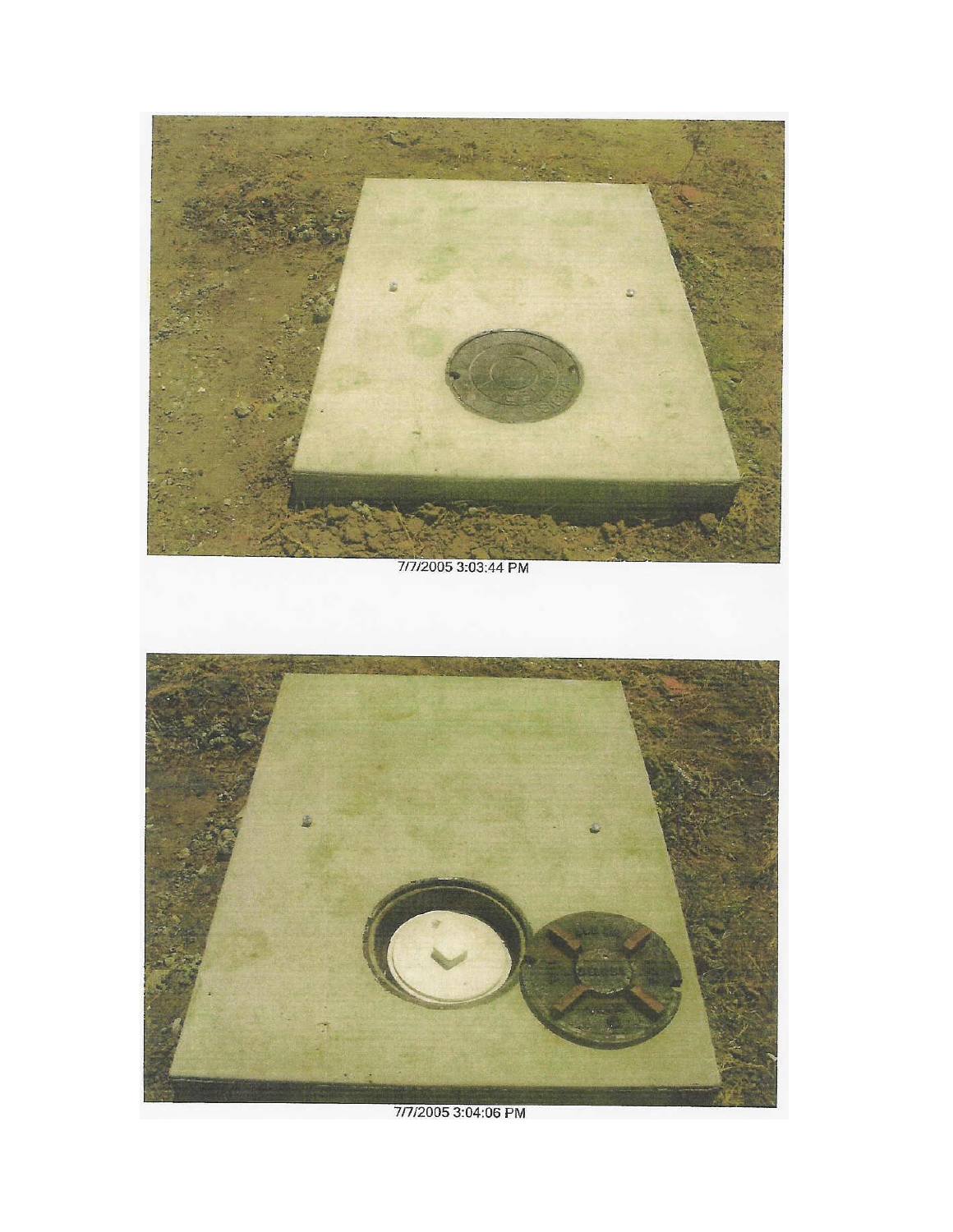

7/7/2005 3:04:06 PM